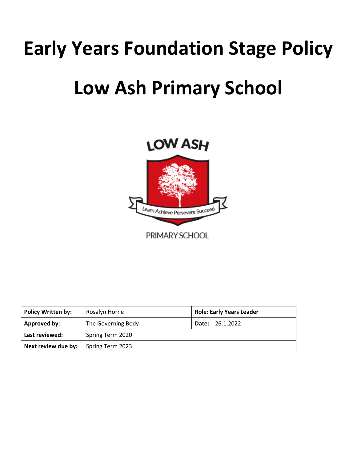# **Early Years Foundation Stage Policy**

# **Low Ash Primary School**



| <b>Policy Written by:</b> | Rosalyn Horne      | <b>Role: Early Years Leader</b> |
|---------------------------|--------------------|---------------------------------|
| Approved by:              | The Governing Body | <b>Date: 26.1.2022</b>          |
| Last reviewed:            | Spring Term 2020   |                                 |
| Next review due by:       | Spring Term 2023   |                                 |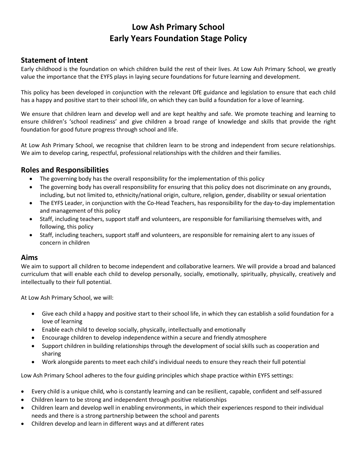## **Low Ash Primary School Early Years Foundation Stage Policy**

## **Statement of Intent**

Early childhood is the foundation on which children build the rest of their lives. At Low Ash Primary School, we greatly value the importance that the EYFS plays in laying secure foundations for future learning and development.

This policy has been developed in conjunction with the relevant DfE guidance and legislation to ensure that each child has a happy and positive start to their school life, on which they can build a foundation for a love of learning.

We ensure that children learn and develop well and are kept healthy and safe. We promote teaching and learning to ensure children's 'school readiness' and give children a broad range of knowledge and skills that provide the right foundation for good future progress through school and life.

At Low Ash Primary School, we recognise that children learn to be strong and independent from secure relationships. We aim to develop caring, respectful, professional relationships with the children and their families.

### **Roles and Responsibilities**

- The governing body has the overall responsibility for the implementation of this policy
- The governing body has overall responsibility for ensuring that this policy does not discriminate on any grounds, including, but not limited to, ethnicity/national origin, culture, religion, gender, disability or sexual orientation
- The EYFS Leader, in conjunction with the Co-Head Teachers, has responsibility for the day-to-day implementation and management of this policy
- Staff, including teachers, support staff and volunteers, are responsible for familiarising themselves with, and following, this policy
- Staff, including teachers, support staff and volunteers, are responsible for remaining alert to any issues of concern in children

#### **Aims**

We aim to support all children to become independent and collaborative learners. We will provide a broad and balanced curriculum that will enable each child to develop personally, socially, emotionally, spiritually, physically, creatively and intellectually to their full potential.

At Low Ash Primary School, we will:

- Give each child a happy and positive start to their school life, in which they can establish a solid foundation for a love of learning
- Enable each child to develop socially, physically, intellectually and emotionally
- Encourage children to develop independence within a secure and friendly atmosphere
- Support children in building relationships through the development of social skills such as cooperation and sharing
- Work alongside parents to meet each child's individual needs to ensure they reach their full potential

Low Ash Primary School adheres to the four guiding principles which shape practice within EYFS settings:

- Every child is a unique child, who is constantly learning and can be resilient, capable, confident and self-assured
- Children learn to be strong and independent through positive relationships
- Children learn and develop well in enabling environments, in which their experiences respond to their individual needs and there is a strong partnership between the school and parents
- Children develop and learn in different ways and at different rates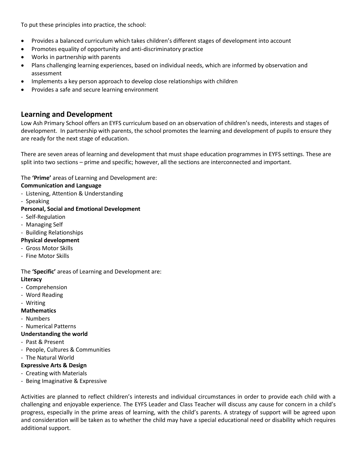To put these principles into practice, the school:

- Provides a balanced curriculum which takes children's different stages of development into account
- Promotes equality of opportunity and anti-discriminatory practice
- Works in partnership with parents
- Plans challenging learning experiences, based on individual needs, which are informed by observation and assessment
- Implements a key person approach to develop close relationships with children
- Provides a safe and secure learning environment

#### **Learning and Development**

Low Ash Primary School offers an EYFS curriculum based on an observation of children's needs, interests and stages of development. In partnership with parents, the school promotes the learning and development of pupils to ensure they are ready for the next stage of education.

There are seven areas of learning and development that must shape education programmes in EYFS settings. These are split into two sections – prime and specific; however, all the sections are interconnected and important.

The **'Prime'** areas of Learning and Development are:

#### **Communication and Language**

- Listening, Attention & Understanding
- Speaking
- **Personal, Social and Emotional Development**
- Self-Regulation
- Managing Self
- Building Relationships

#### **Physical development**

- Gross Motor Skills
- Fine Motor Skills

#### The **'Specific'** areas of Learning and Development are:

#### **Literacy**

- Comprehension
- Word Reading
- Writing

#### **Mathematics**

- Numbers
- Numerical Patterns
- **Understanding the world**
- Past & Present
- People, Cultures & Communities
- The Natural World

#### **Expressive Arts & Design**

- Creating with Materials
- Being Imaginative & Expressive

Activities are planned to reflect children's interests and individual circumstances in order to provide each child with a challenging and enjoyable experience. The EYFS Leader and Class Teacher will discuss any cause for concern in a child's progress, especially in the prime areas of learning, with the child's parents. A strategy of support will be agreed upon and consideration will be taken as to whether the child may have a special educational need or disability which requires additional support.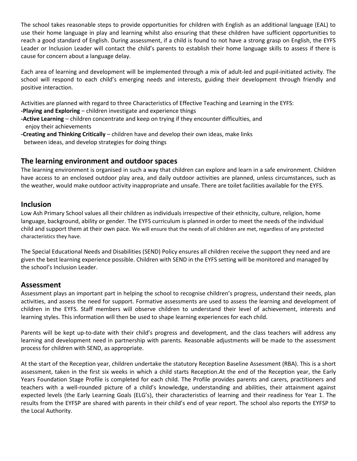The school takes reasonable steps to provide opportunities for children with English as an additional language (EAL) to use their home language in play and learning whilst also ensuring that these children have sufficient opportunities to reach a good standard of English. During assessment, if a child is found to not have a strong grasp on English, the EYFS Leader or Inclusion Leader will contact the child's parents to establish their home language skills to assess if there is cause for concern about a language delay.

Each area of learning and development will be implemented through a mix of adult-led and pupil-initiated activity. The school will respond to each child's emerging needs and interests, guiding their development through friendly and positive interaction.

Activities are planned with regard to three Characteristics of Effective Teaching and Learning in the EYFS:

- **-Playing and Exploring** children investigate and experience things
- **-Active Learning** children concentrate and keep on trying if they encounter difficulties, and enjoy their achievements
- **-Creating and Thinking Critically** children have and develop their own ideas, make links between ideas, and develop strategies for doing things

### **The learning environment and outdoor spaces**

The learning environment is organised in such a way that children can explore and learn in a safe environment. Children have access to an enclosed outdoor play area, and daily outdoor activities are planned, unless circumstances, such as the weather, would make outdoor activity inappropriate and unsafe. There are toilet facilities available for the EYFS.

#### **Inclusion**

Low Ash Primary School values all their children as individuals irrespective of their ethnicity, culture, religion, home language, background, ability or gender. The EYFS curriculum is planned in order to meet the needs of the individual child and support them at their own pace. We will ensure that the needs of all children are met, regardless of any protected characteristics they have.

The Special Educational Needs and Disabilities (SEND) Policy ensures all children receive the support they need and are given the best learning experience possible. Children with SEND in the EYFS setting will be monitored and managed by the school's Inclusion Leader.

#### **Assessment**

Assessment plays an important part in helping the school to recognise children's progress, understand their needs, plan activities, and assess the need for support. Formative assessments are used to assess the learning and development of children in the EYFS. Staff members will observe children to understand their level of achievement, interests and learning styles. This information will then be used to shape learning experiences for each child.

Parents will be kept up-to-date with their child's progress and development, and the class teachers will address any learning and development need in partnership with parents. Reasonable adjustments will be made to the assessment process for children with SEND, as appropriate.

At the start of the Reception year, children undertake the statutory Reception Baseline Assessment (RBA). This is a short assessment, taken in the first six weeks in which a child starts Reception.At the end of the Reception year, the Early Years Foundation Stage Profile is completed for each child. The Profile provides parents and carers, practitioners and teachers with a well-rounded picture of a child's knowledge, understanding and abilities, their attainment against expected levels (the Early Learning Goals (ELG's), their characteristics of learning and their readiness for Year 1. The results from the EYFSP are shared with parents in their child's end of year report. The school also reports the EYFSP to the Local Authority.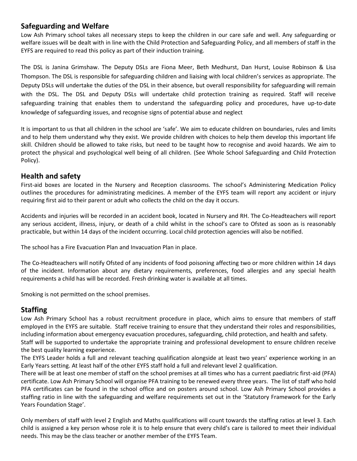## **Safeguarding and Welfare**

Low Ash Primary school takes all necessary steps to keep the children in our care safe and well. Any safeguarding or welfare issues will be dealt with in line with the Child Protection and Safeguarding Policy, and all members of staff in the EYFS are required to read this policy as part of their induction training.

The DSL is Janina Grimshaw. The Deputy DSLs are Fiona Meer, Beth Medhurst, Dan Hurst, Louise Robinson & Lisa Thompson. The DSL is responsible for safeguarding children and liaising with local children's services as appropriate. The Deputy DSLs will undertake the duties of the DSL in their absence, but overall responsibility for safeguarding will remain with the DSL. The DSL and Deputy DSLs will undertake child protection training as required. Staff will receive safeguarding training that enables them to understand the safeguarding policy and procedures, have up-to-date knowledge of safeguarding issues, and recognise signs of potential abuse and neglect

It is important to us that all children in the school are 'safe'. We aim to educate children on boundaries, rules and limits and to help them understand why they exist. We provide children with choices to help them develop this important life skill. Children should be allowed to take risks, but need to be taught how to recognise and avoid hazards. We aim to protect the physical and psychological well being of all children. (See Whole School Safeguarding and Child Protection Policy).

### **Health and safety**

First-aid boxes are located in the Nursery and Reception classrooms. The school's Administering Medication Policy outlines the procedures for administrating medicines. A member of the EYFS team will report any accident or injury requiring first aid to their parent or adult who collects the child on the day it occurs.

Accidents and injuries will be recorded in an accident book, located in Nursery and RH. The Co-Headteachers will report any serious accident, illness, injury, or death of a child whilst in the school's care to Ofsted as soon as is reasonably practicable, but within 14 days of the incident occurring. Local child protection agencies will also be notified.

The school has a Fire Evacuation Plan and Invacuation Plan in place.

The Co-Headteachers will notify Ofsted of any incidents of food poisoning affecting two or more children within 14 days of the incident. Information about any dietary requirements, preferences, food allergies and any special health requirements a child has will be recorded. Fresh drinking water is available at all times.

Smoking is not permitted on the school premises.

## **Staffing**

Low Ash Primary School has a robust recruitment procedure in place, which aims to ensure that members of staff employed in the EYFS are suitable. Staff receive training to ensure that they understand their roles and responsibilities, including information about emergency evacuation procedures, safeguarding, child protection, and health and safety. Staff will be supported to undertake the appropriate training and professional development to ensure children receive the best quality learning experience.

The EYFS Leader holds a full and relevant teaching qualification alongside at least two years' experience working in an Early Years setting. At least half of the other EYFS staff hold a full and relevant level 2 qualification.

There will be at least one member of staff on the school premises at all times who has a current paediatric first-aid (PFA) certificate. Low Ash Primary School will organise PFA training to be renewed every three years. The list of staff who hold PFA certificates can be found in the school office and on posters around school. Low Ash Primary School provides a staffing ratio in line with the safeguarding and welfare requirements set out in the 'Statutory Framework for the Early Years Foundation Stage'.

Only members of staff with level 2 English and Maths qualifications will count towards the staffing ratios at level 3. Each child is assigned a key person whose role it is to help ensure that every child's care is tailored to meet their individual needs. This may be the class teacher or another member of the EYFS Team.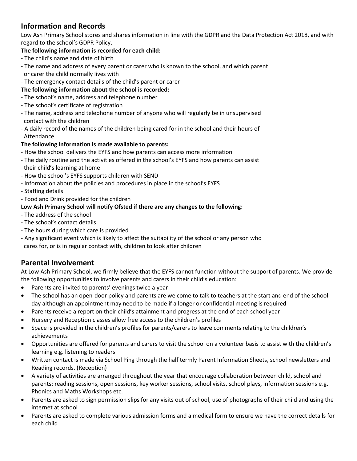## **Information and Records**

Low Ash Primary School stores and shares information in line with the GDPR and the Data Protection Act 2018, and with regard to the school's GDPR Policy.

### **The following information is recorded for each child:**

- The child's name and date of birth
- The name and address of every parent or carer who is known to the school, and which parent or carer the child normally lives with
- The emergency contact details of the child's parent or carer

## **The following information about the school is recorded:**

- The school's name, address and telephone number
- The school's certificate of registration
- The name, address and telephone number of anyone who will regularly be in unsupervised contact with the children
- A daily record of the names of the children being cared for in the school and their hours of Attendance

#### **The following information is made available to parents:**

- How the school delivers the EYFS and how parents can access more information
- The daily routine and the activities offered in the school's EYFS and how parents can assist their child's learning at home
- How the school's EYFS supports children with SEND
- Information about the policies and procedures in place in the school's EYFS
- Staffing details
- Food and Drink provided for the children

#### **Low Ash Primary School will notify Ofsted if there are any changes to the following:**

- The address of the school
- The school's contact details
- The hours during which care is provided
- Any significant event which is likely to affect the suitability of the school or any person who cares for, or is in regular contact with, children to look after children

## **Parental Involvement**

At Low Ash Primary School, we firmly believe that the EYFS cannot function without the support of parents. We provide the following opportunities to involve parents and carers in their child's education:

- Parents are invited to parents' evenings twice a year
- The school has an open-door policy and parents are welcome to talk to teachers at the start and end of the school day although an appointment may need to be made if a longer or confidential meeting is required
- Parents receive a report on their child's attainment and progress at the end of each school year
- Nursery and Reception classes allow free access to the children's profiles
- Space is provided in the children's profiles for parents/carers to leave comments relating to the children's achievements
- Opportunities are offered for parents and carers to visit the school on a volunteer basis to assist with the children's learning e.g. listening to readers
- Written contact is made via School Ping through the half termly Parent Information Sheets, school newsletters and Reading records. (Reception)
- A variety of activities are arranged throughout the year that encourage collaboration between child, school and parents: reading sessions, open sessions, key worker sessions, school visits, school plays, information sessions e.g. Phonics and Maths Workshops etc.
- Parents are asked to sign permission slips for any visits out of school, use of photographs of their child and using the internet at school
- Parents are asked to complete various admission forms and a medical form to ensure we have the correct details for each child